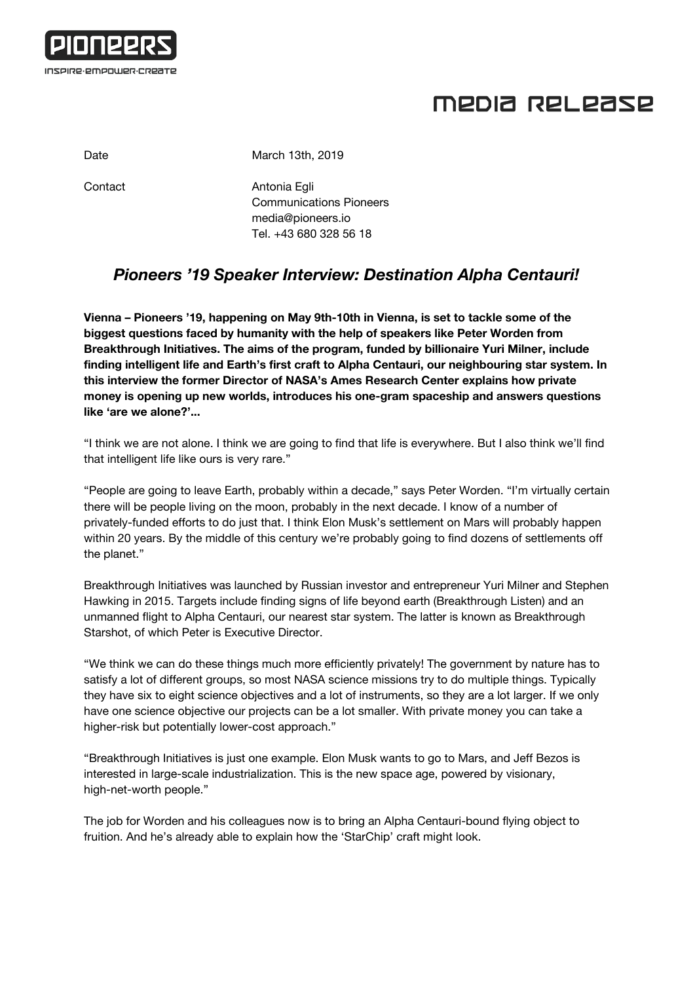

## MEDIA RELEASE

Date March 13th, 2019

Contact **Antonia Egli** Communications Pioneers [media@pioneers.io](mailto:media@pioneers.io) Tel. +43 680 328 56 18

## *Pioneers '19 Speaker Interview: Destination Alpha Centauri!*

**Vienna – Pioneers '19, happening on May 9th-10th in Vienna, is set to tackle some of the biggest questions faced by humanity with the help of speakers like Peter Worden from Breakthrough Initiatives. The aims of the program, funded by billionaire Yuri Milner, include finding intelligent life and Earth's first craft to Alpha Centauri, our neighbouring star system. In this interview the former Director of NASA's Ames Research Center explains how private money is opening up new worlds, introduces his one-gram spaceship and answers questions like 'are we alone?'...**

"I think we are not alone. I think we are going to find that life is everywhere. But I also think we'll find that intelligent life like ours is very rare."

"People are going to leave Earth, probably within a decade," says Peter Worden. "I'm virtually certain there will be people living on the moon, probably in the next decade. I know of a number of privately-funded efforts to do just that. I think Elon Musk's settlement on Mars will probably happen within 20 years. By the middle of this century we're probably going to find dozens of settlements off the planet."

Breakthrough Initiatives was launched by Russian investor and entrepreneur Yuri Milner and Stephen Hawking in 2015. Targets include finding signs of life beyond earth (Breakthrough Listen) and an unmanned flight to Alpha Centauri, our nearest star system. The latter is known as Breakthrough Starshot, of which Peter is Executive Director.

"We think we can do these things much more efficiently privately! The government by nature has to satisfy a lot of different groups, so most NASA science missions try to do multiple things. Typically they have six to eight science objectives and a lot of instruments, so they are a lot larger. If we only have one science objective our projects can be a lot smaller. With private money you can take a higher-risk but potentially lower-cost approach."

"Breakthrough Initiatives is just one example. Elon Musk wants to go to Mars, and Jeff Bezos is interested in large-scale industrialization. This is the new space age, powered by visionary, high-net-worth people."

The job for Worden and his colleagues now is to bring an Alpha Centauri-bound flying object to fruition. And he's already able to explain how the 'StarChip' craft might look.